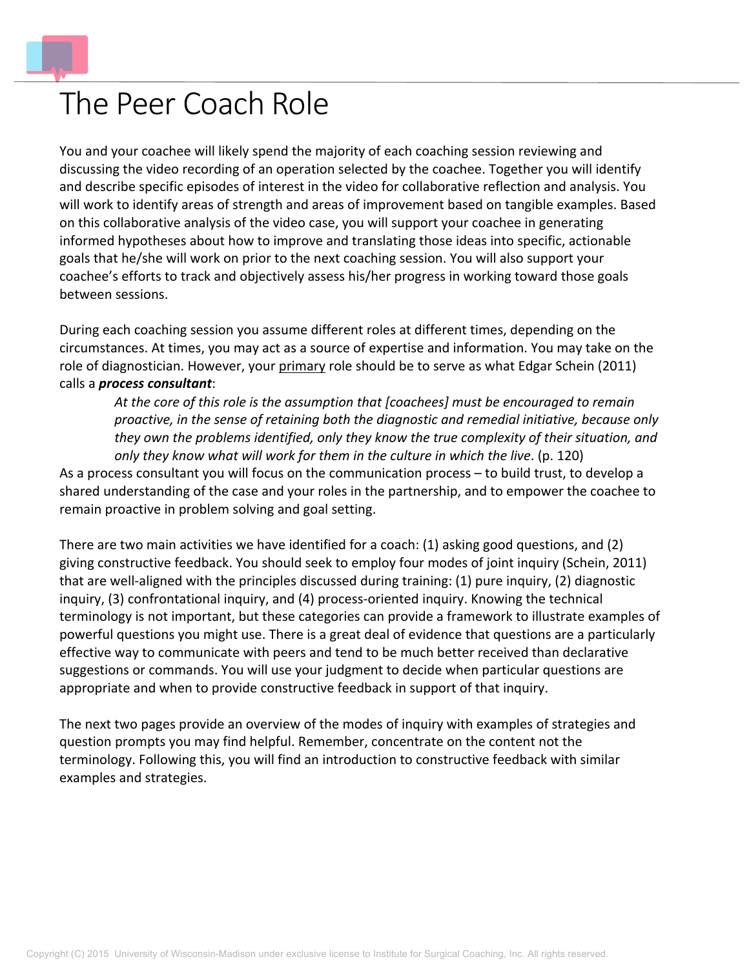

## The Peer Coach Role

You and your coachee will likely spend the majority of each coaching session reviewing and discussing the video recording of an operation selected by the coachee. Together you will identify and describe specific episodes of interest in the video for collaborative reflection and analysis. You will work to identify areas of strength and areas of improvement based on tangible examples. Based on this collaborative analysis of the video case, you will support your coachee in generating informed hypotheses about how to improve and translating those ideas into specific, actionable goals that he/she will work on prior to the next coaching session. You will also support your coachee's efforts to track and objectively assess his/her progress in working toward those goals between sessions.

During each coaching session you assume different roles at different times, depending on the circumstances. At times, you may act as a source of expertise and information. You may take on the role of diagnostician. However, your primary role should be to serve as what Edgar Schein (2011) calls a *process consultant*:

*At the core of this role is the assumption that [coachees] must be encouraged to remain proactive, in the sense of retaining both the diagnostic and remedial initiative, because only they own the problems identified, only they know the true complexity of their situation, and only they know what will work for them in the culture in which the live*. (p. 120)

As a process consultant you will focus on the communication process – to build trust, to develop a shared understanding of the case and your roles in the partnership, and to empower the coachee to remain proactive in problem solving and goal setting.

There are two main activities we have identified for a coach: (1) asking good questions, and (2) giving constructive feedback. You should seek to employ four modes of joint inquiry (Schein, 2011) that are well-aligned with the principles discussed during training: (1) pure inquiry, (2) diagnostic inquiry, (3) confrontational inquiry, and (4) process-oriented inquiry. Knowing the technical terminology is not important, but these categories can provide a framework to illustrate examples of powerful questions you might use. There is a great deal of evidence that questions are a particularly effective way to communicate with peers and tend to be much better received than declarative suggestions or commands. You will use your judgment to decide when particular questions are appropriate and when to provide constructive feedback in support of that inquiry.

The next two pages provide an overview of the modes of inquiry with examples of strategies and question prompts you may find helpful. Remember, concentrate on the content not the terminology. Following this, you will find an introduction to constructive feedback with similar examples and strategies.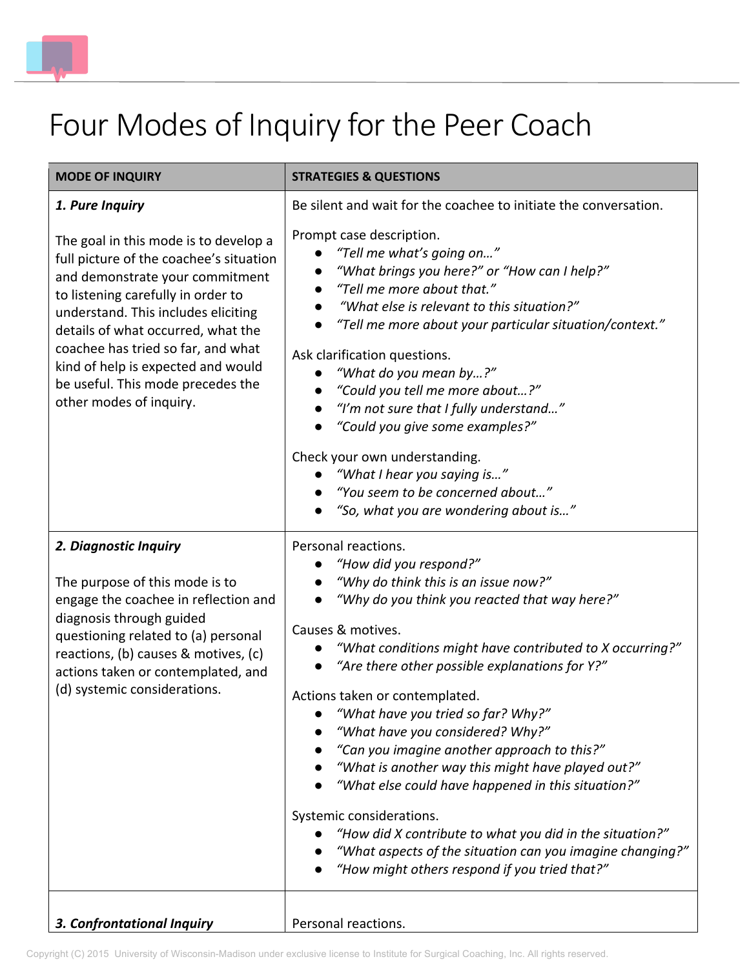

## Four Modes of Inquiry for the Peer Coach

| <b>MODE OF INQUIRY</b>                                                                                                                                                                                                                                                                                                                                                             | <b>STRATEGIES &amp; QUESTIONS</b>                                                                                                                                                                                                                                                                                                                                                                                                                                                                                                                                                                                                                                                                                                                       |  |
|------------------------------------------------------------------------------------------------------------------------------------------------------------------------------------------------------------------------------------------------------------------------------------------------------------------------------------------------------------------------------------|---------------------------------------------------------------------------------------------------------------------------------------------------------------------------------------------------------------------------------------------------------------------------------------------------------------------------------------------------------------------------------------------------------------------------------------------------------------------------------------------------------------------------------------------------------------------------------------------------------------------------------------------------------------------------------------------------------------------------------------------------------|--|
| 1. Pure Inquiry                                                                                                                                                                                                                                                                                                                                                                    | Be silent and wait for the coachee to initiate the conversation.                                                                                                                                                                                                                                                                                                                                                                                                                                                                                                                                                                                                                                                                                        |  |
| The goal in this mode is to develop a<br>full picture of the coachee's situation<br>and demonstrate your commitment<br>to listening carefully in order to<br>understand. This includes eliciting<br>details of what occurred, what the<br>coachee has tried so far, and what<br>kind of help is expected and would<br>be useful. This mode precedes the<br>other modes of inquiry. | Prompt case description.<br>"Tell me what's going on"<br>"What brings you here?" or "How can I help?"<br>"Tell me more about that."<br>"What else is relevant to this situation?"<br>"Tell me more about your particular situation/context."<br>Ask clarification questions.<br>"What do you mean by?"<br>"Could you tell me more about?"<br>"I'm not sure that I fully understand"<br>"Could you give some examples?"<br>Check your own understanding.<br>"What I hear you saying is"<br>"You seem to be concerned about"<br>"So, what you are wondering about is"                                                                                                                                                                                     |  |
| 2. Diagnostic Inquiry<br>The purpose of this mode is to<br>engage the coachee in reflection and<br>diagnosis through guided<br>questioning related to (a) personal<br>reactions, (b) causes & motives, (c)<br>actions taken or contemplated, and<br>(d) systemic considerations.                                                                                                   | Personal reactions.<br>"How did you respond?"<br>"Why do think this is an issue now?"<br>"Why do you think you reacted that way here?"<br>Causes & motives.<br>"What conditions might have contributed to X occurring?"<br>"Are there other possible explanations for Y?"<br>Actions taken or contemplated.<br>• "What have you tried so far? Why?"<br>"What have you considered? Why?"<br>"Can you imagine another approach to this?"<br>"What is another way this might have played out?"<br>"What else could have happened in this situation?"<br>Systemic considerations.<br>"How did X contribute to what you did in the situation?"<br>"What aspects of the situation can you imagine changing?"<br>"How might others respond if you tried that?" |  |
| 3. Confrontational Inquiry                                                                                                                                                                                                                                                                                                                                                         | Personal reactions.                                                                                                                                                                                                                                                                                                                                                                                                                                                                                                                                                                                                                                                                                                                                     |  |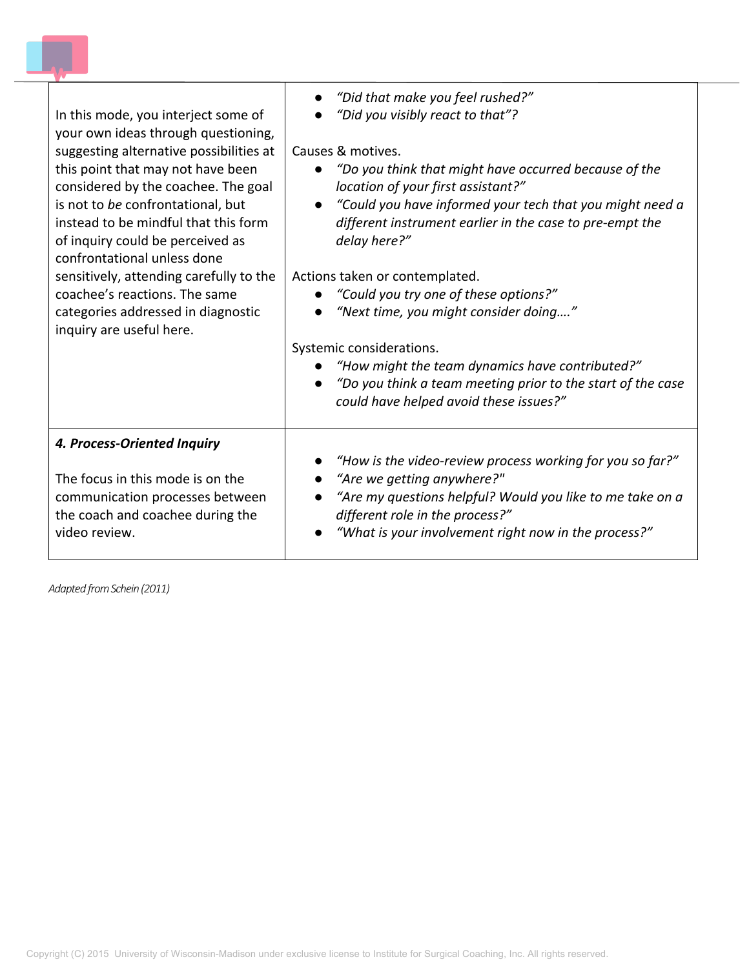| In this mode, you interject some of                                                                                                        | "Did that make you feel rushed?"                                                                                                                                                                                                                                                                         |
|--------------------------------------------------------------------------------------------------------------------------------------------|----------------------------------------------------------------------------------------------------------------------------------------------------------------------------------------------------------------------------------------------------------------------------------------------------------|
| your own ideas through questioning,                                                                                                        | "Did you visibly react to that"?                                                                                                                                                                                                                                                                         |
| suggesting alternative possibilities at                                                                                                    | Causes & motives.                                                                                                                                                                                                                                                                                        |
| this point that may not have been                                                                                                          | "Do you think that might have occurred because of the                                                                                                                                                                                                                                                    |
| considered by the coachee. The goal                                                                                                        | location of your first assistant?"                                                                                                                                                                                                                                                                       |
| is not to be confrontational, but                                                                                                          | "Could you have informed your tech that you might need a                                                                                                                                                                                                                                                 |
| instead to be mindful that this form                                                                                                       | $\bullet$                                                                                                                                                                                                                                                                                                |
| of inquiry could be perceived as                                                                                                           | different instrument earlier in the case to pre-empt the                                                                                                                                                                                                                                                 |
| confrontational unless done                                                                                                                | delay here?"                                                                                                                                                                                                                                                                                             |
| sensitively, attending carefully to the<br>coachee's reactions. The same<br>categories addressed in diagnostic<br>inquiry are useful here. | Actions taken or contemplated.<br>"Could you try one of these options?"<br>"Next time, you might consider doing"<br>Systemic considerations.<br>"How might the team dynamics have contributed?"<br>"Do you think a team meeting prior to the start of the case<br>could have helped avoid these issues?" |
| 4. Process-Oriented Inquiry                                                                                                                | "How is the video-review process working for you so far?"                                                                                                                                                                                                                                                |
| The focus in this mode is on the                                                                                                           | "Are we getting anywhere?"                                                                                                                                                                                                                                                                               |
| communication processes between                                                                                                            | "Are my questions helpful? Would you like to me take on a                                                                                                                                                                                                                                                |
| the coach and coachee during the                                                                                                           | different role in the process?"                                                                                                                                                                                                                                                                          |
| video review.                                                                                                                              | "What is your involvement right now in the process?"                                                                                                                                                                                                                                                     |

*Adapted from Schein (2011)*